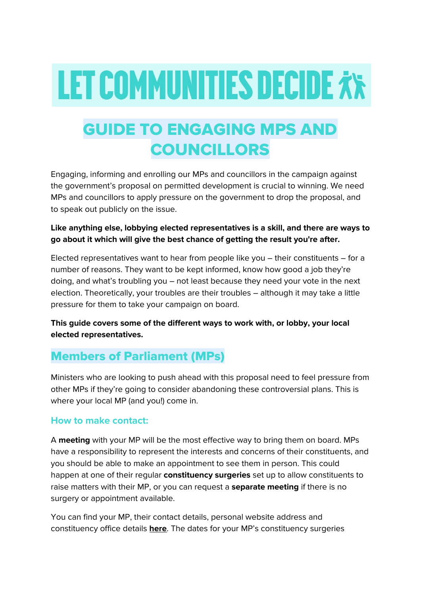# **LET COMMUNITIES DECIDE XX**

# GUIDE TO ENGAGING MPS AND COUNCILLORS

Engaging, informing and enrolling our MPs and councillors in the campaign against the government's proposal on permitted development is crucial to winning. We need MPs and councillors to apply pressure on the government to drop the proposal, and to speak out publicly on the issue.

### **Like anything else, lobbying elected representatives is a skill, and there are ways to go about it which will give the best chance of getting the result you're after.**

Elected representatives want to hear from people like you – their constituents – for a number of reasons. They want to be kept informed, know how good a job they're doing, and what's troubling you – not least because they need your vote in the next election. Theoretically, your troubles are their troubles – although it may take a little pressure for them to take your campaign on board.

**This guide covers some of the different ways to work with, or lobby, your local elected representatives.**

# Members of Parliament (MPs)

Ministers who are looking to push ahead with this proposal need to feel pressure from other MPs if they're going to consider abandoning these controversial plans. This is where your local MP (and you!) come in.

# **How to make contact:**

A **meeting** with your MP will be the most effective way to bring them on board. MPs have a responsibility to represent the interests and concerns of their constituents, and you should be able to make an appointment to see them in person. This could happen at one of their regular **constituency surgeries** set up to allow constituents to raise matters with their MP, or you can request a **separate meeting** if there is no surgery or appointment available.

You can find your MP, their contact details, personal website address and constituency office details **[here](https://www.parliament.uk/mps-lords-and-offices/mps/)**. The dates for your MP's constituency surgeries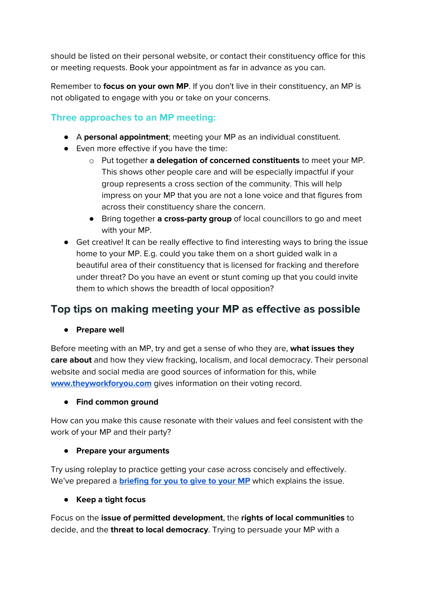should be listed on their personal website, or contact their constituency office for this or meeting requests. Book your appointment as far in advance as you can.

Remember to **focus on your own MP**. If you don't live in their constituency, an MP is not obligated to engage with you or take on your concerns.

# **Three approaches to an MP meeting:**

- A **personal appointment**; meeting your MP as an individual constituent.
- Even more effective if you have the time:
	- o Put together **a delegation of concerned constituents** to meet your MP. This shows other people care and will be especially impactful if your group represents a cross section of the community. This will help impress on your MP that you are not a lone voice and that figures from across their constituency share the concern.
	- Bring together **a cross-party group** of local councillors to go and meet with your MP.
- Get creative! It can be really effective to find interesting ways to bring the issue home to your MP. E.g. could you take them on a short guided walk in a beautiful area of their constituency that is licensed for fracking and therefore under threat? Do you have an event or stunt coming up that you could invite them to which shows the breadth of local opposition?

# **Top tips on making meeting your MP as effective as possible**

**● Prepare well**

Before meeting with an MP, try and get a sense of who they are, **what issues they care about** and how they view fracking, localism, and local democracy. Their personal website and social media are good sources of information for this, while **[www.theyworkforyou.com](http://www.theyworkforyou.com/)** gives information on their voting record.

#### **● Find common ground**

How can you make this cause resonate with their values and feel consistent with the work of your MP and their party?

#### ● **Prepare your arguments**

Try using roleplay to practice getting your case across concisely and effectively. We've prepared a **[briefing](https://gofossilfree.org/uk/wp-content/uploads/sites/3/2018/07/Briefing_Permitted_Development_Non-fracking_Drilling_July-2018.pdf) for you to give to your MP** which explains the issue.

#### **● Keep a tight focus**

Focus on the **issue of permitted development**, the **rights of local communities** to decide, and the **threat to local democracy**. Trying to persuade your MP with a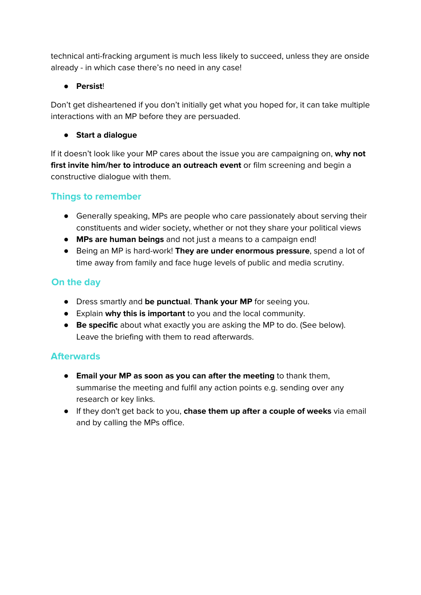technical anti-fracking argument is much less likely to succeed, unless they are onside already - in which case there's no need in any case!

## ● **Persist**!

Don't get disheartened if you don't initially get what you hoped for, it can take multiple interactions with an MP before they are persuaded.

**● Start a dialogue**

If it doesn't look like your MP cares about the issue you are campaigning on, **why not first invite him/her to introduce an outreach event** or film screening and begin a constructive dialogue with them.

# **Things to remember**

- Generally speaking, MPs are people who care passionately about serving their constituents and wider society, whether or not they share your political views
- **MPs are human beings** and not just a means to a campaign end!
- Being an MP is hard-work! **They are under enormous pressure**, spend a lot of time away from family and face huge levels of public and media scrutiny.

# **On the day**

- **●** Dress smartly and **be punctual**. **Thank your MP** for seeing you.
- **●** Explain **why this is important** to you and the local community.
- **● Be specific** about what exactly you are asking the MP to do. (See below). Leave the briefing with them to read afterwards.

# **Afterwards**

- **Email your MP as soon as you can after the meeting** to thank them, summarise the meeting and fulfil any action points e.g. sending over any research or key links.
- If they don't get back to you, **chase them up after a couple of weeks** via email and by calling the MPs office.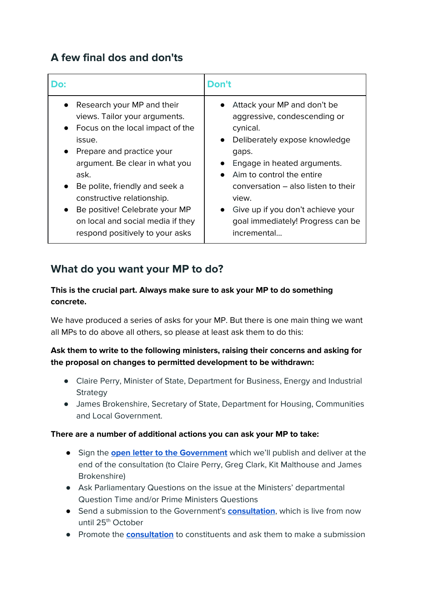# **A few final dos and don'ts**

| Do:                                                                                                                                                                                                                                                                                                                                                                     | Don't                                                                                                                                                                                                                                                                                                                                            |
|-------------------------------------------------------------------------------------------------------------------------------------------------------------------------------------------------------------------------------------------------------------------------------------------------------------------------------------------------------------------------|--------------------------------------------------------------------------------------------------------------------------------------------------------------------------------------------------------------------------------------------------------------------------------------------------------------------------------------------------|
| Research your MP and their<br>views. Tailor your arguments.<br>Focus on the local impact of the<br>issue.<br>Prepare and practice your<br>argument. Be clear in what you<br>ask.<br>Be polite, friendly and seek a<br>constructive relationship.<br>Be positive! Celebrate your MP<br>$\bullet$<br>on local and social media if they<br>respond positively to your asks | Attack your MP and don't be<br>aggressive, condescending or<br>cynical.<br>Deliberately expose knowledge<br>$\bullet$<br>gaps.<br>Engage in heated arguments.<br>Aim to control the entire<br>conversation – also listen to their<br>view.<br>Give up if you don't achieve your<br>$\bullet$<br>goal immediately! Progress can be<br>incremental |

# **What do you want your MP to do?**

#### **This is the crucial part. Always make sure to ask your MP to do something concrete.**

We have produced a series of asks for your MP. But there is one main thing we want all MPs to do above all others, so please at least ask them to do this:

#### **Ask them to write to the following ministers, raising their concerns and asking for the proposal on changes to permitted development to be withdrawn:**

- Claire Perry, Minister of State, Department for Business, Energy and Industrial Strategy
- James Brokenshire, Secretary of State, Department for Housing, Communities and Local Government.

#### **There are a number of additional actions you can ask your MP to take:**

- Sign the **open letter to the [Government](https://gofossilfree.org/uk/let-communities-decide-letter/)** which we'll publish and deliver at the end of the consultation (to Claire Perry, Greg Clark, Kit Malthouse and James Brokenshire)
- Ask Parliamentary Questions on the issue at the Ministers' departmental Question Time and/or Prime Ministers Questions
- Send a submission to the Government's **[consultation](https://www.gov.uk/government/consultations/permitted-development-for-shale-gas-exploration)**, which is live from now until 25<sup>th</sup> October
- Promote the **[consultation](https://www.gov.uk/government/consultations/permitted-development-for-shale-gas-exploration)** to constituents and ask them to make a submission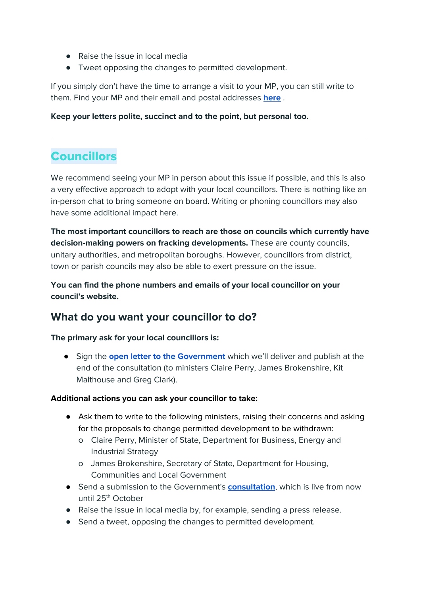- Raise the issue in local media
- Tweet opposing the changes to permitted development.

If you simply don't have the time to arrange a visit to your MP, you can still write to them. Find your MP and their email and postal addresses **[here](https://www.parliament.uk/mps-lords-and-offices/mps/)** .

#### **Keep your letters polite, succinct and to the point, but personal too.**

# Councillors

We recommend seeing your MP in person about this issue if possible, and this is also a very effective approach to adopt with your local councillors. There is nothing like an in-person chat to bring someone on board. Writing or phoning councillors may also have some additional impact here.

**The most important councillors to reach are those on councils which currently have decision-making powers on fracking developments.** These are county councils, unitary authorities, and metropolitan boroughs. However, councillors from district, town or parish councils may also be able to exert pressure on the issue.

**You can find the phone numbers and emails of your local councillor on your council's website.**

# **What do you want your councillor to do?**

#### **The primary ask for your local councillors is:**

● Sign the **open letter to the [Government](https://gofossilfree.org/uk/let-communities-decide-letter/)** which we'll deliver and publish at the end of the consultation (to ministers Claire Perry, James Brokenshire, Kit Malthouse and Greg Clark).

#### **Additional actions you can ask your councillor to take:**

- Ask them to write to the following ministers, raising their concerns and asking for the proposals to change permitted development to be withdrawn:
	- o Claire Perry, Minister of State, Department for Business, Energy and Industrial Strategy
	- o James Brokenshire, Secretary of State, Department for Housing, Communities and Local Government
- Send a submission to the Government's **[consultation](https://www.gov.uk/government/consultations/permitted-development-for-shale-gas-exploration)**, which is live from now until 25<sup>th</sup> October
- Raise the issue in local media by, for example, sending a press release.
- Send a tweet, opposing the changes to permitted development.